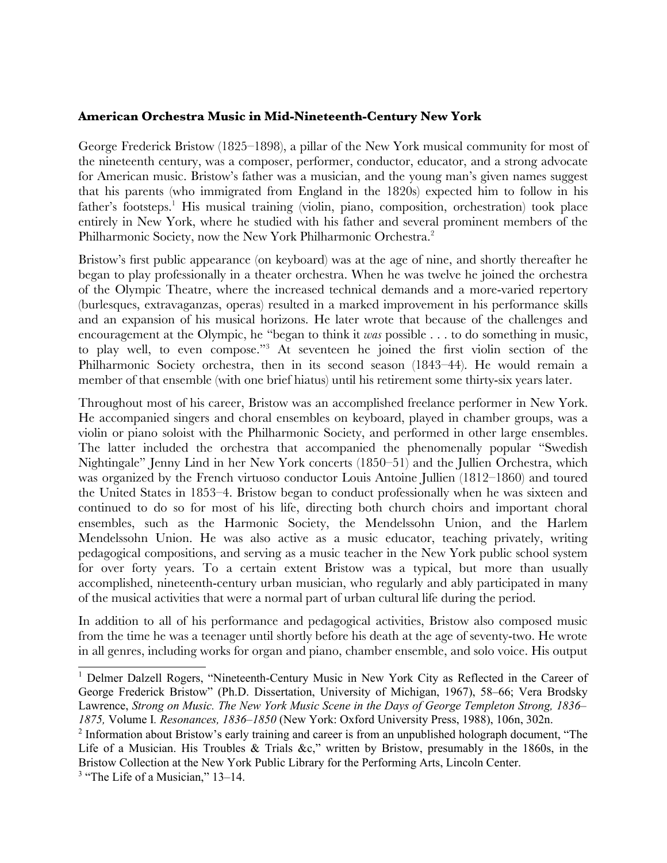### **American Orchestra Music in Mid-Nineteenth-Century New York**

George Frederick Bristow (1825–1898), a pillar of the New York musical community for most of the nineteenth century, was a composer, performer, conductor, educator, and a strong advocate for American music. Bristow's father was a musician, and the young man's given names suggest that his parents (who immigrated from England in the 1820s) expected him to follow in his father's footsteps.<sup>1</sup> His musical training (violin, piano, composition, orchestration) took place entirely in New York, where he studied with his father and several prominent members of the Philharmonic Society, now the New York Philharmonic Orchestra.<sup>2</sup>

Bristow's first public appearance (on keyboard) was at the age of nine, and shortly thereafter he began to play professionally in a theater orchestra. When he was twelve he joined the orchestra of the Olympic Theatre, where the increased technical demands and a more-varied repertory (burlesques, extravaganzas, operas) resulted in a marked improvement in his performance skills and an expansion of his musical horizons. He later wrote that because of the challenges and encouragement at the Olympic, he "began to think it *was* possible . . . to do something in music, to play well, to even compose."3 At seventeen he joined the first violin section of the Philharmonic Society orchestra, then in its second season (1843–44). He would remain a member of that ensemble (with one brief hiatus) until his retirement some thirty-six years later.

Throughout most of his career, Bristow was an accomplished freelance performer in New York. He accompanied singers and choral ensembles on keyboard, played in chamber groups, was a violin or piano soloist with the Philharmonic Society, and performed in other large ensembles. The latter included the orchestra that accompanied the phenomenally popular "Swedish Nightingale" Jenny Lind in her New York concerts (1850–51) and the Jullien Orchestra, which was organized by the French virtuoso conductor Louis Antoine Jullien (1812–1860) and toured the United States in 1853–4. Bristow began to conduct professionally when he was sixteen and continued to do so for most of his life, directing both church choirs and important choral ensembles, such as the Harmonic Society, the Mendelssohn Union, and the Harlem Mendelssohn Union. He was also active as a music educator, teaching privately, writing pedagogical compositions, and serving as a music teacher in the New York public school system for over forty years. To a certain extent Bristow was a typical, but more than usually accomplished, nineteenth-century urban musician, who regularly and ably participated in many of the musical activities that were a normal part of urban cultural life during the period.

In addition to all of his performance and pedagogical activities, Bristow also composed music from the time he was a teenager until shortly before his death at the age of seventy-two. He wrote in all genres, including works for organ and piano, chamber ensemble, and solo voice. His output

<sup>&</sup>lt;sup>1</sup> Delmer Dalzell Rogers, "Nineteenth-Century Music in New York City as Reflected in the Career of George Frederick Bristow" (Ph.D. Dissertation, University of Michigan, 1967), 58–66; Vera Brodsky Lawrence, *Strong on Music. The New York Music Scene in the Days of George Templeton Strong, 1836– 1875,* Volume I*. Resonances, 1836–1850* (New York: Oxford University Press, 1988), 106n, 302n.

<sup>2</sup> Information about Bristow's early training and career is from an unpublished holograph document, "The Life of a Musician. His Troubles & Trials &c," written by Bristow, presumably in the 1860s, in the Bristow Collection at the New York Public Library for the Performing Arts, Lincoln Center.

<sup>3</sup> "The Life of a Musician," 13*–*14.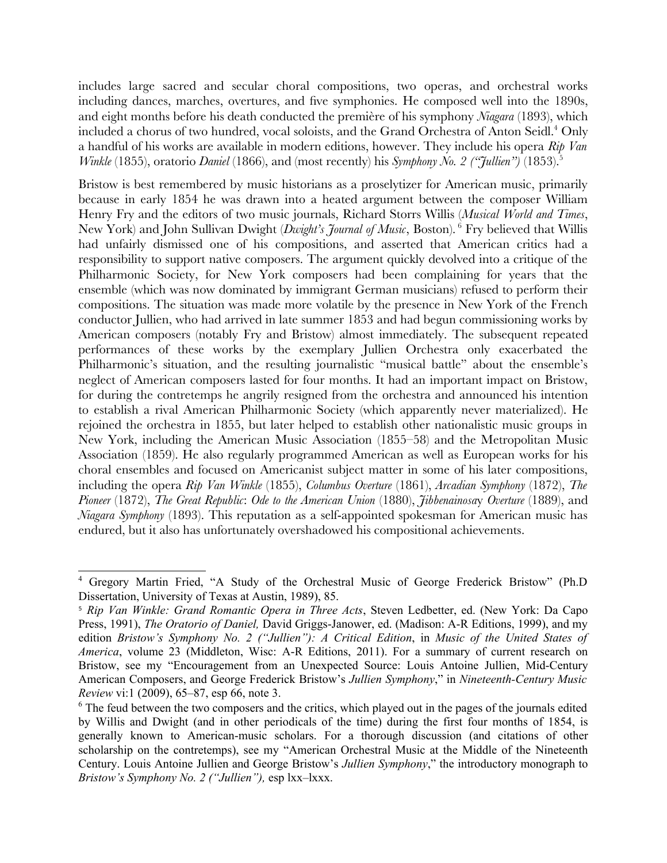includes large sacred and secular choral compositions, two operas, and orchestral works including dances, marches, overtures, and five symphonies. He composed well into the 1890s, and eight months before his death conducted the première of his symphony *Niagara* (1893), which included a chorus of two hundred, vocal soloists, and the Grand Orchestra of Anton Seidl.<sup>4</sup> Only a handful of his works are available in modern editions, however. They include his opera *Rip Van Winkle* (1855), oratorio *Daniel* (1866), and (most recently) his *Symphony No. 2* ("*Jullien*") (1853).<sup>5</sup>

Bristow is best remembered by music historians as a proselytizer for American music, primarily because in early 1854 he was drawn into a heated argument between the composer William Henry Fry and the editors of two music journals, Richard Storrs Willis (*Musical World and Times*, New York) and John Sullivan Dwight (*Dwight's Journal of Music*, Boston). <sup>6</sup> Fry believed that Willis had unfairly dismissed one of his compositions, and asserted that American critics had a responsibility to support native composers. The argument quickly devolved into a critique of the Philharmonic Society, for New York composers had been complaining for years that the ensemble (which was now dominated by immigrant German musicians) refused to perform their compositions. The situation was made more volatile by the presence in New York of the French conductor Jullien, who had arrived in late summer 1853 and had begun commissioning works by American composers (notably Fry and Bristow) almost immediately. The subsequent repeated performances of these works by the exemplary Jullien Orchestra only exacerbated the Philharmonic's situation, and the resulting journalistic "musical battle" about the ensemble's neglect of American composers lasted for four months. It had an important impact on Bristow, for during the contretemps he angrily resigned from the orchestra and announced his intention to establish a rival American Philharmonic Society (which apparently never materialized). He rejoined the orchestra in 1855, but later helped to establish other nationalistic music groups in New York, including the American Music Association (1855–58) and the Metropolitan Music Association (1859). He also regularly programmed American as well as European works for his choral ensembles and focused on Americanist subject matter in some of his later compositions, including the opera *Rip Van Winkle* (1855), *Columbus Overture* (1861), *Arcadian Symphony* (1872), *The Pioneer* (1872), *The Great Republic*: *Ode to the American Union* (1880), *Jibbenainosa*y *Overture* (1889), and *Niagara Symphony* (1893). This reputation as a self-appointed spokesman for American music has endured, but it also has unfortunately overshadowed his compositional achievements.

<sup>4</sup> Gregory Martin Fried, "A Study of the Orchestral Music of George Frederick Bristow" (Ph.D Dissertation, University of Texas at Austin, 1989), 85.

<sup>5</sup> *Rip Van Winkle: Grand Romantic Opera in Three Acts*, Steven Ledbetter, ed. (New York: Da Capo Press, 1991), *The Oratorio of Daniel,* David Griggs-Janower, ed. (Madison: A-R Editions, 1999), and my edition *Bristow's Symphony No. 2 ("Jullien"): A Critical Edition*, in *Music of the United States of America*, volume 23 (Middleton, Wisc: A-R Editions, 2011). For a summary of current research on Bristow, see my "Encouragement from an Unexpected Source: Louis Antoine Jullien, Mid-Century American Composers, and George Frederick Bristow's *Jullien Symphony*," in *Nineteenth-Century Music Review* vi:1 (2009), 65*–*87, esp 66, note 3.

<sup>&</sup>lt;sup>6</sup> The feud between the two composers and the critics, which played out in the pages of the journals edited by Willis and Dwight (and in other periodicals of the time) during the first four months of 1854, is generally known to American-music scholars. For a thorough discussion (and citations of other scholarship on the contretemps), see my "American Orchestral Music at the Middle of the Nineteenth Century. Louis Antoine Jullien and George Bristow's *Jullien Symphony*," the introductory monograph to *Bristow's Symphony No. 2 ("Jullien"),* esp lxx*–*lxxx.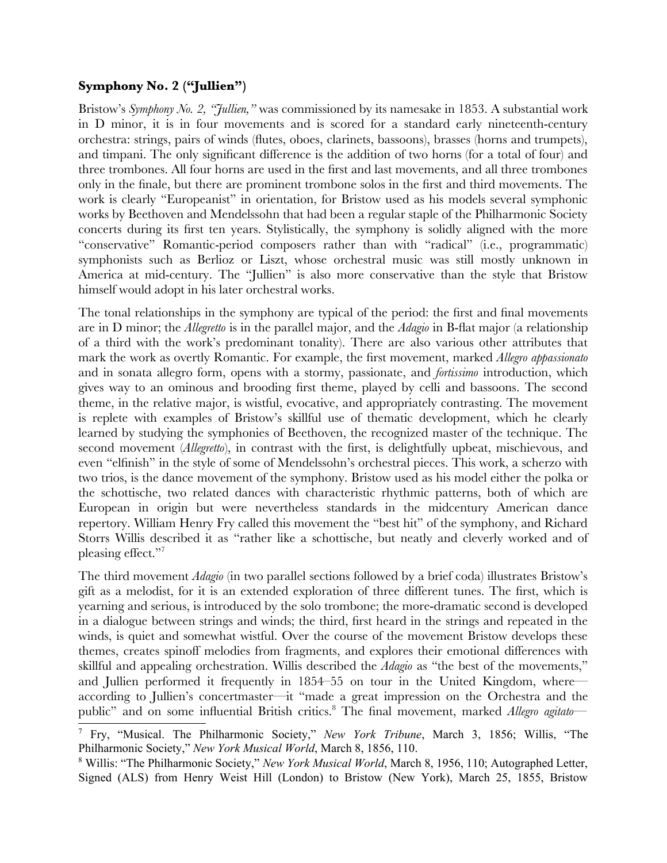# **Symphony No. 2 ("Jullien")**

Bristow's *Symphony No. 2, "Jullien,"* was commissioned by its namesake in 1853. A substantial work in D minor, it is in four movements and is scored for a standard early nineteenth-century orchestra: strings, pairs of winds (flutes, oboes, clarinets, bassoons), brasses (horns and trumpets), and timpani. The only significant difference is the addition of two horns (for a total of four) and three trombones. All four horns are used in the first and last movements, and all three trombones only in the finale, but there are prominent trombone solos in the first and third movements. The work is clearly "Europeanist" in orientation, for Bristow used as his models several symphonic works by Beethoven and Mendelssohn that had been a regular staple of the Philharmonic Society concerts during its first ten years. Stylistically, the symphony is solidly aligned with the more "conservative" Romantic-period composers rather than with "radical" (i.e., programmatic) symphonists such as Berlioz or Liszt, whose orchestral music was still mostly unknown in America at mid-century. The "Jullien" is also more conservative than the style that Bristow himself would adopt in his later orchestral works.

The tonal relationships in the symphony are typical of the period: the first and final movements are in D minor; the *Allegretto* is in the parallel major, and the *Adagio* in B-flat major (a relationship of a third with the work's predominant tonality). There are also various other attributes that mark the work as overtly Romantic. For example, the first movement, marked *Allegro appassionato* and in sonata allegro form, opens with a stormy, passionate, and *fortissimo* introduction, which gives way to an ominous and brooding first theme, played by celli and bassoons. The second theme, in the relative major, is wistful, evocative, and appropriately contrasting. The movement is replete with examples of Bristow's skillful use of thematic development, which he clearly learned by studying the symphonies of Beethoven, the recognized master of the technique. The second movement (*Allegretto*), in contrast with the first, is delightfully upbeat, mischievous, and even "elfinish" in the style of some of Mendelssohn's orchestral pieces. This work, a scherzo with two trios, is the dance movement of the symphony. Bristow used as his model either the polka or the schottische, two related dances with characteristic rhythmic patterns, both of which are European in origin but were nevertheless standards in the midcentury American dance repertory. William Henry Fry called this movement the "best hit" of the symphony, and Richard Storrs Willis described it as "rather like a schottische, but neatly and cleverly worked and of pleasing effect."7

The third movement *Adagio* (in two parallel sections followed by a brief coda) illustrates Bristow's gift as a melodist, for it is an extended exploration of three different tunes. The first, which is yearning and serious, is introduced by the solo trombone; the more-dramatic second is developed in a dialogue between strings and winds; the third, first heard in the strings and repeated in the winds, is quiet and somewhat wistful. Over the course of the movement Bristow develops these themes, creates spinoff melodies from fragments, and explores their emotional differences with skillful and appealing orchestration. Willis described the *Adagio* as "the best of the movements," and Jullien performed it frequently in 1854–55 on tour in the United Kingdom, where according to Jullien's concertmaster—it "made a great impression on the Orchestra and the public" and on some influential British critics.<sup>8</sup> The final movement, marked *Allegro agitato*—

<sup>7</sup> Fry, "Musical. The Philharmonic Society," *New York Tribune*, March 3, 1856; Willis, "The Philharmonic Society," *New York Musical World*, March 8, 1856, 110.

<sup>8</sup> Willis: "The Philharmonic Society," *New York Musical World*, March 8, 1956, 110; Autographed Letter, Signed (ALS) from Henry Weist Hill (London) to Bristow (New York), March 25, 1855, Bristow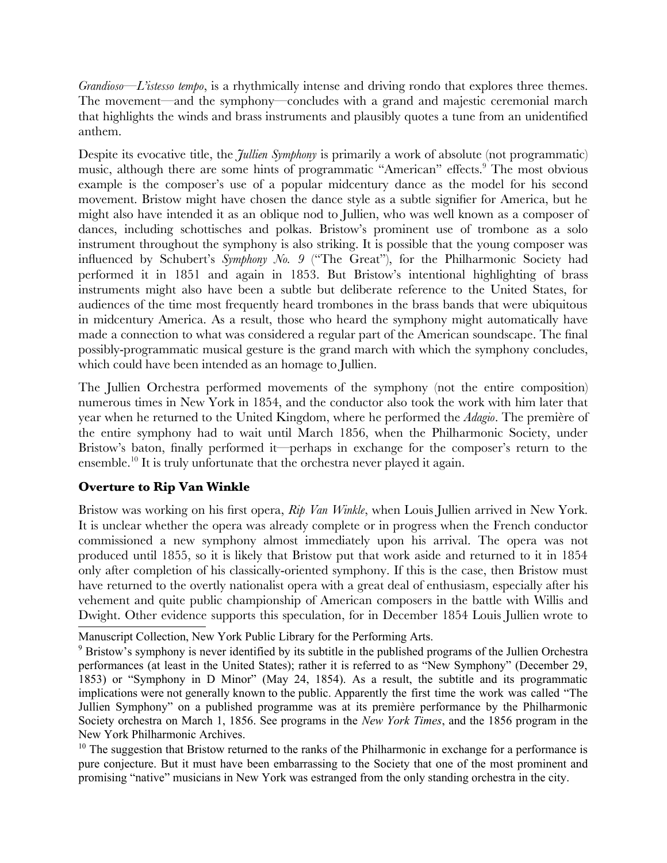*Grandioso—L'istesso tempo*, is a rhythmically intense and driving rondo that explores three themes. The movement—and the symphony—concludes with a grand and majestic ceremonial march that highlights the winds and brass instruments and plausibly quotes a tune from an unidentified anthem.

Despite its evocative title, the *Jullien Symphony* is primarily a work of absolute (not programmatic) music, although there are some hints of programmatic "American" effects.<sup>9</sup> The most obvious example is the composer's use of a popular midcentury dance as the model for his second movement. Bristow might have chosen the dance style as a subtle signifier for America, but he might also have intended it as an oblique nod to Jullien, who was well known as a composer of dances, including schottisches and polkas. Bristow's prominent use of trombone as a solo instrument throughout the symphony is also striking. It is possible that the young composer was influenced by Schubert's *Symphony No. 9* ("The Great"), for the Philharmonic Society had performed it in 1851 and again in 1853. But Bristow's intentional highlighting of brass instruments might also have been a subtle but deliberate reference to the United States, for audiences of the time most frequently heard trombones in the brass bands that were ubiquitous in midcentury America. As a result, those who heard the symphony might automatically have made a connection to what was considered a regular part of the American soundscape. The final possibly-programmatic musical gesture is the grand march with which the symphony concludes, which could have been intended as an homage to Jullien.

The Jullien Orchestra performed movements of the symphony (not the entire composition) numerous times in New York in 1854, and the conductor also took the work with him later that year when he returned to the United Kingdom, where he performed the *Adagio*. The première of the entire symphony had to wait until March 1856, when the Philharmonic Society, under Bristow's baton, finally performed it—perhaps in exchange for the composer's return to the ensemble.<sup>10</sup> It is truly unfortunate that the orchestra never played it again.

# **Overture to Rip Van Winkle**

Bristow was working on his first opera, *Rip Van Winkle*, when Louis Jullien arrived in New York. It is unclear whether the opera was already complete or in progress when the French conductor commissioned a new symphony almost immediately upon his arrival. The opera was not produced until 1855, so it is likely that Bristow put that work aside and returned to it in 1854 only after completion of his classically-oriented symphony. If this is the case, then Bristow must have returned to the overtly nationalist opera with a great deal of enthusiasm, especially after his vehement and quite public championship of American composers in the battle with Willis and Dwight. Other evidence supports this speculation, for in December 1854 Louis Jullien wrote to

<sup>10</sup> The suggestion that Bristow returned to the ranks of the Philharmonic in exchange for a performance is pure conjecture. But it must have been embarrassing to the Society that one of the most prominent and promising "native" musicians in New York was estranged from the only standing orchestra in the city.

Manuscript Collection, New York Public Library for the Performing Arts.

<sup>9</sup> Bristow's symphony is never identified by its subtitle in the published programs of the Jullien Orchestra performances (at least in the United States); rather it is referred to as "New Symphony" (December 29, 1853) or "Symphony in D Minor" (May 24, 1854). As a result, the subtitle and its programmatic implications were not generally known to the public. Apparently the first time the work was called "The Jullien Symphony" on a published programme was at its première performance by the Philharmonic Society orchestra on March 1, 1856. See programs in the *New York Times*, and the 1856 program in the New York Philharmonic Archives.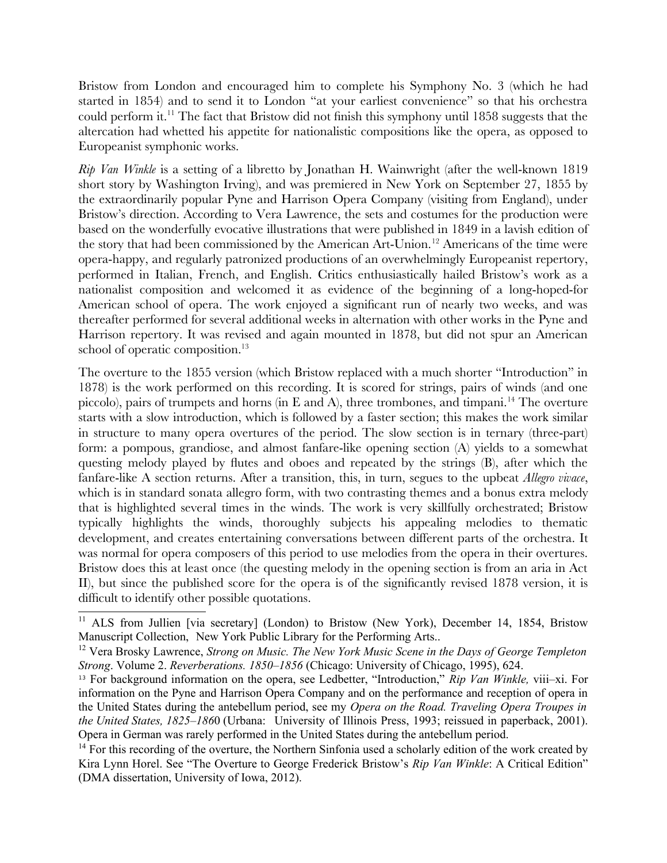Bristow from London and encouraged him to complete his Symphony No. 3 (which he had started in 1854) and to send it to London "at your earliest convenience" so that his orchestra could perform it.<sup>11</sup> The fact that Bristow did not finish this symphony until 1858 suggests that the altercation had whetted his appetite for nationalistic compositions like the opera, as opposed to Europeanist symphonic works.

*Rip Van Winkle* is a setting of a libretto by Jonathan H. Wainwright (after the well-known 1819 short story by Washington Irving), and was premiered in New York on September 27, 1855 by the extraordinarily popular Pyne and Harrison Opera Company (visiting from England), under Bristow's direction. According to Vera Lawrence, the sets and costumes for the production were based on the wonderfully evocative illustrations that were published in 1849 in a lavish edition of the story that had been commissioned by the American Art-Union.<sup>12</sup> Americans of the time were opera-happy, and regularly patronized productions of an overwhelmingly Europeanist repertory, performed in Italian, French, and English. Critics enthusiastically hailed Bristow's work as a nationalist composition and welcomed it as evidence of the beginning of a long-hoped-for American school of opera. The work enjoyed a significant run of nearly two weeks, and was thereafter performed for several additional weeks in alternation with other works in the Pyne and Harrison repertory. It was revised and again mounted in 1878, but did not spur an American school of operatic composition.<sup>13</sup>

The overture to the 1855 version (which Bristow replaced with a much shorter "Introduction" in 1878) is the work performed on this recording. It is scored for strings, pairs of winds (and one piccolo), pairs of trumpets and horns (in  $E$  and  $A$ ), three trombones, and timpani.<sup>14</sup> The overture starts with a slow introduction, which is followed by a faster section; this makes the work similar in structure to many opera overtures of the period. The slow section is in ternary (three-part) form: a pompous, grandiose, and almost fanfare-like opening section (A) yields to a somewhat questing melody played by flutes and oboes and repeated by the strings (B), after which the fanfare-like A section returns. After a transition, this, in turn, segues to the upbeat *Allegro vivace*, which is in standard sonata allegro form, with two contrasting themes and a bonus extra melody that is highlighted several times in the winds. The work is very skillfully orchestrated; Bristow typically highlights the winds, thoroughly subjects his appealing melodies to thematic development, and creates entertaining conversations between different parts of the orchestra. It was normal for opera composers of this period to use melodies from the opera in their overtures. Bristow does this at least once (the questing melody in the opening section is from an aria in Act II), but since the published score for the opera is of the significantly revised 1878 version, it is difficult to identify other possible quotations.

<sup>&</sup>lt;sup>11</sup> ALS from Jullien [via secretary] (London) to Bristow (New York), December 14, 1854, Bristow Manuscript Collection, New York Public Library for the Performing Arts..

<sup>12</sup> Vera Brosky Lawrence, *Strong on Music. The New York Music Scene in the Days of George Templeton Strong*. Volume 2. *Reverberations. 1850–1856* (Chicago: University of Chicago, 1995), 624.

<sup>13</sup> For background information on the opera, see Ledbetter, "Introduction," *Rip Van Winkle,* viii*–*xi. For information on the Pyne and Harrison Opera Company and on the performance and reception of opera in the United States during the antebellum period, see my *Opera on the Road. Traveling Opera Troupes in the United States, 1825–186*0 (Urbana: University of Illinois Press, 1993; reissued in paperback, 2001). Opera in German was rarely performed in the United States during the antebellum period.

<sup>&</sup>lt;sup>14</sup> For this recording of the overture, the Northern Sinfonia used a scholarly edition of the work created by Kira Lynn Horel. See "The Overture to George Frederick Bristow's *Rip Van Winkle*: A Critical Edition" (DMA dissertation, University of Iowa, 2012).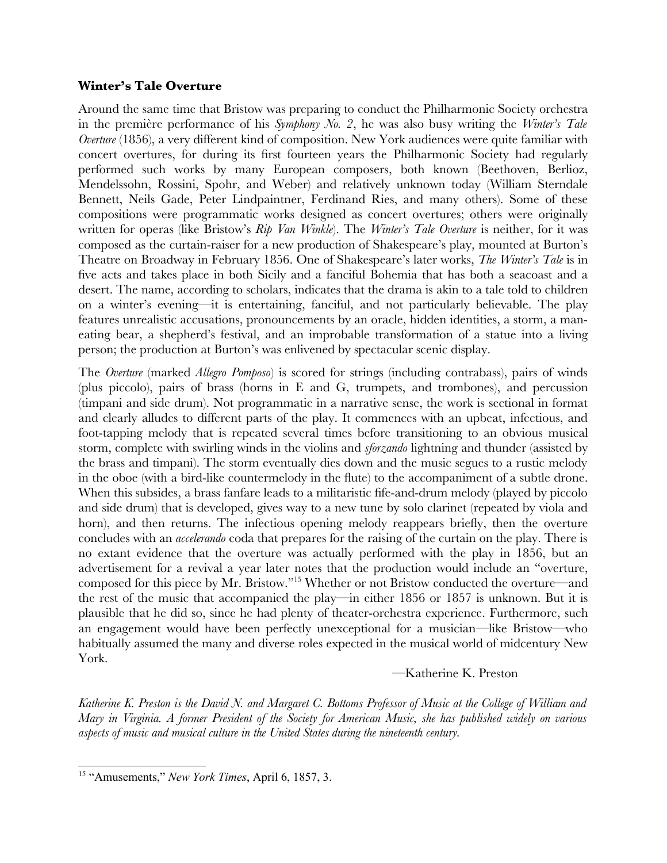#### **Winter's Tale Overture**

Around the same time that Bristow was preparing to conduct the Philharmonic Society orchestra in the première performance of his *Symphony No. 2*, he was also busy writing the *Winter's Tale Overture* (1856), a very different kind of composition. New York audiences were quite familiar with concert overtures, for during its first fourteen years the Philharmonic Society had regularly performed such works by many European composers, both known (Beethoven, Berlioz, Mendelssohn, Rossini, Spohr, and Weber) and relatively unknown today (William Sterndale Bennett, Neils Gade, Peter Lindpaintner, Ferdinand Ries, and many others). Some of these compositions were programmatic works designed as concert overtures; others were originally written for operas (like Bristow's *Rip Van Winkle*). The *Winter's Tale Overture* is neither, for it was composed as the curtain-raiser for a new production of Shakespeare's play, mounted at Burton's Theatre on Broadway in February 1856. One of Shakespeare's later works, *The Winter's Tale* is in five acts and takes place in both Sicily and a fanciful Bohemia that has both a seacoast and a desert. The name, according to scholars, indicates that the drama is akin to a tale told to children on a winter's evening—it is entertaining, fanciful, and not particularly believable. The play features unrealistic accusations, pronouncements by an oracle, hidden identities, a storm, a maneating bear, a shepherd's festival, and an improbable transformation of a statue into a living person; the production at Burton's was enlivened by spectacular scenic display.

The *Overture* (marked *Allegro Pomposo*) is scored for strings (including contrabass), pairs of winds (plus piccolo), pairs of brass (horns in E and G, trumpets, and trombones), and percussion (timpani and side drum). Not programmatic in a narrative sense, the work is sectional in format and clearly alludes to different parts of the play. It commences with an upbeat, infectious, and foot-tapping melody that is repeated several times before transitioning to an obvious musical storm, complete with swirling winds in the violins and *sforzando* lightning and thunder (assisted by the brass and timpani). The storm eventually dies down and the music segues to a rustic melody in the oboe (with a bird-like countermelody in the flute) to the accompaniment of a subtle drone. When this subsides, a brass fanfare leads to a militaristic fife-and-drum melody (played by piccolo and side drum) that is developed, gives way to a new tune by solo clarinet (repeated by viola and horn), and then returns. The infectious opening melody reappears briefly, then the overture concludes with an *accelerando* coda that prepares for the raising of the curtain on the play. There is no extant evidence that the overture was actually performed with the play in 1856, but an advertisement for a revival a year later notes that the production would include an "overture, composed for this piece by Mr. Bristow."15 Whether or not Bristow conducted the overture—and the rest of the music that accompanied the play—in either 1856 or 1857 is unknown. But it is plausible that he did so, since he had plenty of theater-orchestra experience. Furthermore, such an engagement would have been perfectly unexceptional for a musician—like Bristow—who habitually assumed the many and diverse roles expected in the musical world of midcentury New York.

### —Katherine K. Preston

Katherine K. Preston is the David N. and Margaret C. Bottoms Professor of Music at the College of William and Mary in Virginia. A former President of the Society for American Music, she has published widely on various *aspects of music and musical culture in the United States during the nineteenth century.* 

<sup>15 &</sup>quot;Amusements," *New York Times*, April 6, 1857, 3.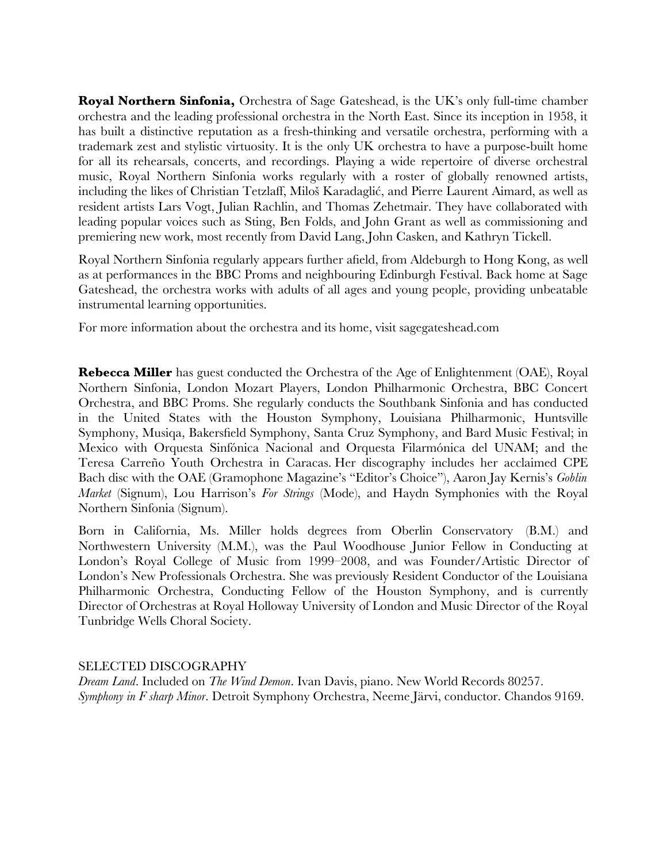**Royal Northern Sinfonia,** Orchestra of Sage Gateshead, is the UK's only full-time chamber orchestra and the leading professional orchestra in the North East. Since its inception in 1958, it has built a distinctive reputation as a fresh-thinking and versatile orchestra, performing with a trademark zest and stylistic virtuosity. It is the only UK orchestra to have a purpose-built home for all its rehearsals, concerts, and recordings. Playing a wide repertoire of diverse orchestral music, Royal Northern Sinfonia works regularly with a roster of globally renowned artists, including the likes of Christian Tetzlaff, Miloš Karadaglić, and Pierre Laurent Aimard, as well as resident artists Lars Vogt, Julian Rachlin, and Thomas Zehetmair. They have collaborated with leading popular voices such as Sting, Ben Folds, and John Grant as well as commissioning and premiering new work, most recently from David Lang, John Casken, and Kathryn Tickell.

Royal Northern Sinfonia regularly appears further afield, from Aldeburgh to Hong Kong, as well as at performances in the BBC Proms and neighbouring Edinburgh Festival. Back home at Sage Gateshead, the orchestra works with adults of all ages and young people, providing unbeatable instrumental learning opportunities.

For more information about the orchestra and its home, visit sagegateshead.com

**Rebecca Miller** has guest conducted the Orchestra of the Age of Enlightenment (OAE), Royal Northern Sinfonia, London Mozart Players, London Philharmonic Orchestra, BBC Concert Orchestra, and BBC Proms. She regularly conducts the Southbank Sinfonia and has conducted in the United States with the Houston Symphony, Louisiana Philharmonic, Huntsville Symphony, Musiqa, Bakersfield Symphony, Santa Cruz Symphony, and Bard Music Festival; in Mexico with Orquesta Sinfónica Nacional and Orquesta Filarmónica del UNAM; and the Teresa Carreño Youth Orchestra in Caracas. Her discography includes her acclaimed CPE Bach disc with the OAE (Gramophone Magazine's "Editor's Choice"), Aaron Jay Kernis's *Goblin Market* (Signum), Lou Harrison's *For Strings* (Mode), and Haydn Symphonies with the Royal Northern Sinfonia (Signum).

Born in California, Ms. Miller holds degrees from Oberlin Conservatory (B.M.) and Northwestern University (M.M.), was the Paul Woodhouse Junior Fellow in Conducting at London's Royal College of Music from 1999–2008, and was Founder/Artistic Director of London's New Professionals Orchestra. She was previously Resident Conductor of the Louisiana Philharmonic Orchestra, Conducting Fellow of the Houston Symphony, and is currently Director of Orchestras at Royal Holloway University of London and Music Director of the Royal Tunbridge Wells Choral Society.

SELECTED DISCOGRAPHY

*Dream Land*. Included on *The Wind Demon*. Ivan Davis, piano. New World Records 80257. *Symphony in F sharp Minor*. Detroit Symphony Orchestra, Neeme Järvi, conductor. Chandos 9169.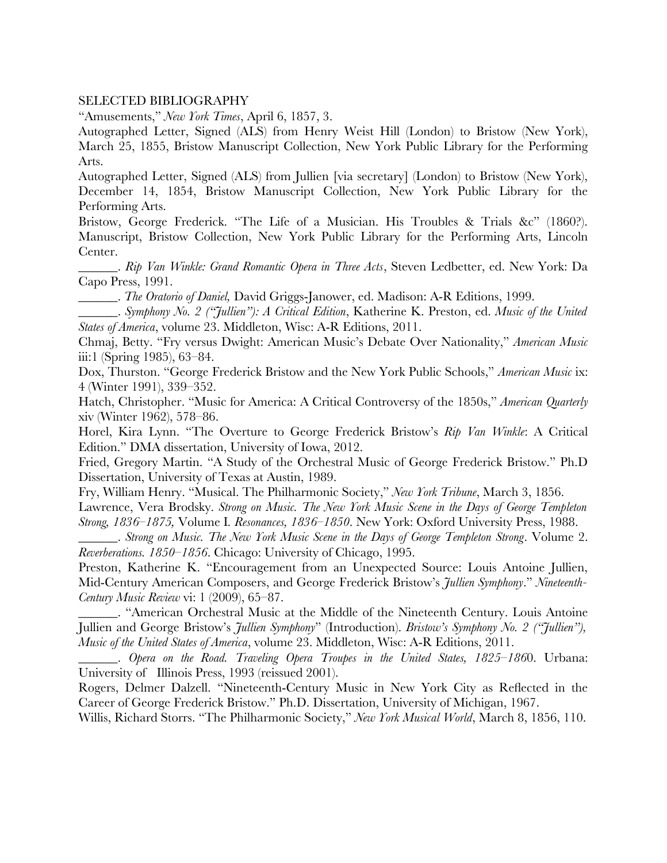#### SELECTED BIBLIOGRAPHY

"Amusements," *New York Times*, April 6, 1857, 3.

Autographed Letter, Signed (ALS) from Henry Weist Hill (London) to Bristow (New York), March 25, 1855, Bristow Manuscript Collection, New York Public Library for the Performing Arts.

Autographed Letter, Signed (ALS) from Jullien [via secretary] (London) to Bristow (New York), December 14, 1854, Bristow Manuscript Collection, New York Public Library for the Performing Arts.

Bristow, George Frederick. "The Life of a Musician. His Troubles & Trials &c" (1860?). Manuscript, Bristow Collection, New York Public Library for the Performing Arts, Lincoln Center.

\_\_\_\_\_\_. *Rip Van Winkle: Grand Romantic Opera in Three Acts*, Steven Ledbetter, ed. New York: Da Capo Press, 1991.

\_\_\_\_\_\_. *The Oratorio of Daniel,* David Griggs-Janower, ed. Madison: A-R Editions, 1999.

\_\_\_\_\_\_. *Symphony No. 2 ("Jullien"): A Critical Edition*, Katherine K. Preston, ed. *Music of the United States of America*, volume 23. Middleton, Wisc: A-R Editions, 2011.

Chmaj, Betty. "Fry versus Dwight: American Music's Debate Over Nationality," *American Music* iii:1 (Spring 1985), 63–84.

Dox, Thurston. "George Frederick Bristow and the New York Public Schools," American Music ix: 4 (Winter 1991), 339–352.

Hatch, Christopher. "Music for America: A Critical Controversy of the 1850s," *American Quarterly* xiv (Winter 1962), 578–86.

Horel, Kira Lynn. "The Overture to George Frederick Bristow's *Rip Van Winkle*: A Critical Edition." DMA dissertation, University of Iowa, 2012.

Fried, Gregory Martin. "A Study of the Orchestral Music of George Frederick Bristow." Ph.D Dissertation, University of Texas at Austin, 1989.

Fry, William Henry. "Musical. The Philharmonic Society," *New York Tribune*, March 3, 1856.

Lawrence, Vera Brodsky. *Strong on Music. The New York Music Scene in the Days of George Templeton Strong, 1836–1875,* Volume I*. Resonances, 1836–1850*. New York: Oxford University Press, 1988.

\_\_\_\_\_\_. *Strong on Music. The New York Music Scene in the Days of George Templeton Strong*. Volume 2. *Reverberations. 1850–1856*. Chicago: University of Chicago, 1995.

Preston, Katherine K. "Encouragement from an Unexpected Source: Louis Antoine Jullien, Mid-Century American Composers, and George Frederick Bristow's *Jullien Symphony*." *Nineteenth-Century Music Review* vi: 1 (2009), 65–87.

\_\_\_\_\_\_. "American Orchestral Music at the Middle of the Nineteenth Century. Louis Antoine Jullien and George Bristow's *Jullien Symphony*" (Introduction). *Bristow's Symphony No. 2 ("Jullien"), Music of the United States of America*, volume 23. Middleton, Wisc: A-R Editions, 2011.

\_\_\_\_\_\_. *Opera on the Road. Traveling Opera Troupes in the United States, 1825–186*0. Urbana: University of Illinois Press, 1993 (reissued 2001).

Rogers, Delmer Dalzell. "Nineteenth-Century Music in New York City as Reflected in the Career of George Frederick Bristow." Ph.D. Dissertation, University of Michigan, 1967.

Willis, Richard Storrs. "The Philharmonic Society," *New York Musical World*, March 8, 1856, 110.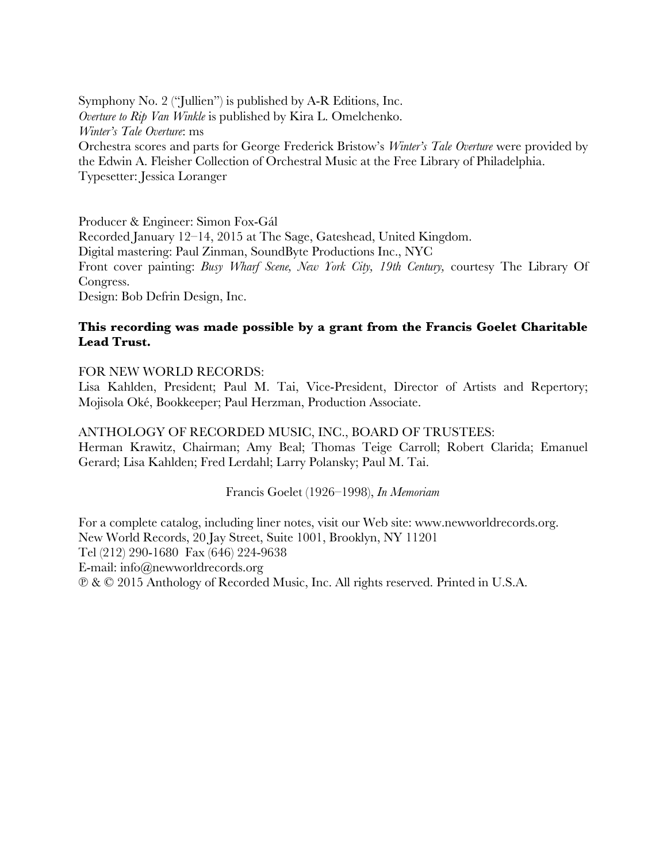Symphony No. 2 ("Jullien") is published by A-R Editions, Inc. *Overture to Rip Van Winkle* is published by Kira L. Omelchenko. *Winter's Tale Overture*: ms Orchestra scores and parts for George Frederick Bristow's *Winter's Tale Overture* were provided by the Edwin A. Fleisher Collection of Orchestral Music at the Free Library of Philadelphia. Typesetter: Jessica Loranger

Producer & Engineer: Simon Fox-Gál Recorded January 12–14, 2015 at The Sage, Gateshead, United Kingdom. Digital mastering: Paul Zinman, SoundByte Productions Inc., NYC Front cover painting: *Busy Wharf Scene, New York City, 19th Century,* courtesy The Library Of Congress. Design: Bob Defrin Design, Inc.

# **This recording was made possible by a grant from the Francis Goelet Charitable Lead Trust.**

## FOR NEW WORLD RECORDS:

Lisa Kahlden, President; Paul M. Tai, Vice-President, Director of Artists and Repertory; Mojisola Oké, Bookkeeper; Paul Herzman, Production Associate.

## ANTHOLOGY OF RECORDED MUSIC, INC., BOARD OF TRUSTEES:

Herman Krawitz, Chairman; Amy Beal; Thomas Teige Carroll; Robert Clarida; Emanuel Gerard; Lisa Kahlden; Fred Lerdahl; Larry Polansky; Paul M. Tai.

### Francis Goelet (1926–1998), *In Memoriam*

For a complete catalog, including liner notes, visit our Web site: www.newworldrecords.org. New World Records, 20 Jay Street, Suite 1001, Brooklyn, NY 11201 Tel (212) 290-1680 Fax (646) 224-9638 E-mail: info@newworldrecords.org ℗ & © 2015 Anthology of Recorded Music, Inc. All rights reserved. Printed in U.S.A.